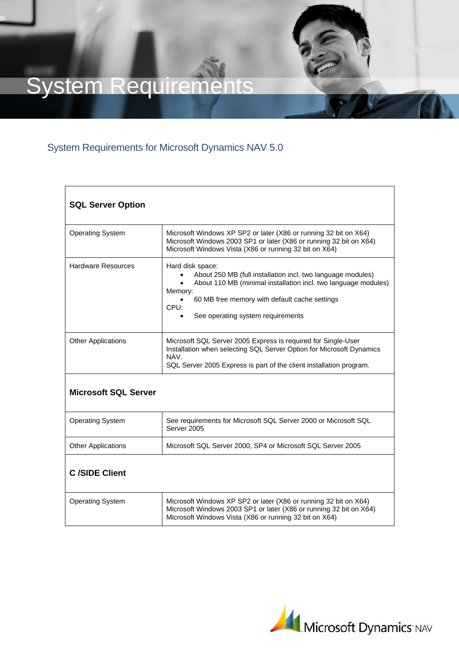## System Requirements

## System Requirements for Microsoft Dynamics NAV 5.0

| <b>SQL Server Option</b>    |                                                                                                                                                                                                                                                                         |  |
|-----------------------------|-------------------------------------------------------------------------------------------------------------------------------------------------------------------------------------------------------------------------------------------------------------------------|--|
| <b>Operating System</b>     | Microsoft Windows XP SP2 or later (X86 or running 32 bit on X64)<br>Microsoft Windows 2003 SP1 or later (X86 or running 32 bit on X64)<br>Microsoft Windows Vista (X86 or running 32 bit on X64)                                                                        |  |
| <b>Hardware Resources</b>   | Hard disk space:<br>About 250 MB (full installation incl. two language modules)<br>About 110 MB (minimal installation incl. two language modules)<br>Memory:<br>60 MB free memory with default cache settings<br>CPU:<br>See operating system requirements<br>$\bullet$ |  |
| <b>Other Applications</b>   | Microsoft SQL Server 2005 Express is required for Single-User<br>Installation when selecting SQL Server Option for Microsoft Dynamics<br>NAV.<br>SQL Server 2005 Express is part of the client installation program.                                                    |  |
| <b>Microsoft SQL Server</b> |                                                                                                                                                                                                                                                                         |  |
| <b>Operating System</b>     | See requirements for Microsoft SQL Server 2000 or Microsoft SQL<br>Server 2005                                                                                                                                                                                          |  |
| <b>Other Applications</b>   | Microsoft SQL Server 2000, SP4 or Microsoft SQL Server 2005                                                                                                                                                                                                             |  |
| <b>C</b> /SIDE Client       |                                                                                                                                                                                                                                                                         |  |
| <b>Operating System</b>     | Microsoft Windows XP SP2 or later (X86 or running 32 bit on X64)<br>Microsoft Windows 2003 SP1 or later (X86 or running 32 bit on X64)<br>Microsoft Windows Vista (X86 or running 32 bit on X64)                                                                        |  |

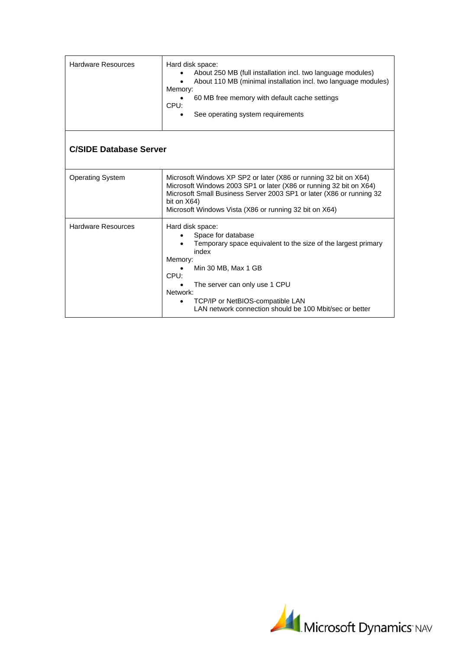| Hardware Resources            | Hard disk space:<br>About 250 MB (full installation incl. two language modules)<br>About 110 MB (minimal installation incl. two language modules)<br>Memory:<br>60 MB free memory with default cache settings<br>CPI:<br>See operating system requirements<br>$\bullet$                                |  |  |
|-------------------------------|--------------------------------------------------------------------------------------------------------------------------------------------------------------------------------------------------------------------------------------------------------------------------------------------------------|--|--|
| <b>C/SIDE Database Server</b> |                                                                                                                                                                                                                                                                                                        |  |  |
| <b>Operating System</b>       | Microsoft Windows XP SP2 or later (X86 or running 32 bit on X64)<br>Microsoft Windows 2003 SP1 or later (X86 or running 32 bit on X64)<br>Microsoft Small Business Server 2003 SP1 or later (X86 or running 32<br>bit on X64)<br>Microsoft Windows Vista (X86 or running 32 bit on X64)                |  |  |
| <b>Hardware Resources</b>     | Hard disk space:<br>Space for database<br>Temporary space equivalent to the size of the largest primary<br>index<br>Memory:<br>Min 30 MB, Max 1 GB<br>CPU:<br>The server can only use 1 CPU<br>Network:<br>TCP/IP or NetBIOS-compatible LAN<br>LAN network connection should be 100 Mbit/sec or better |  |  |

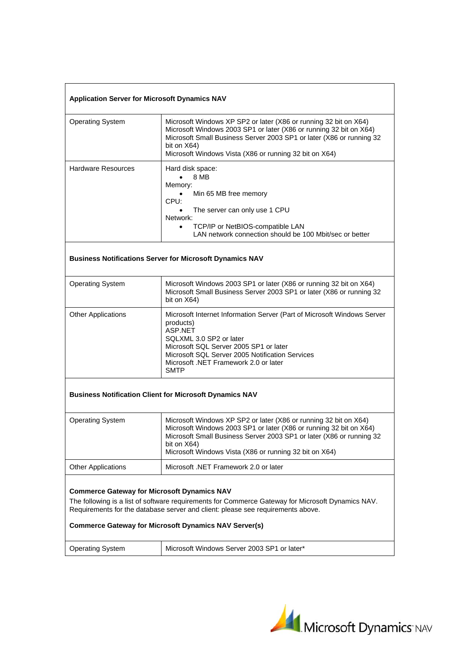## **Application Server for Microsoft Dynamics NAV**

| Microsoft Windows XP SP2 or later (X86 or running 32 bit on X64)<br><b>Operating System</b><br>Microsoft Windows 2003 SP1 or later (X86 or running 32 bit on X64)<br>Microsoft Small Business Server 2003 SP1 or later (X86 or running 32<br>bit on X64)<br>Microsoft Windows Vista (X86 or running 32 bit on X64)<br><b>Hardware Resources</b><br>Hard disk space:<br>8 MB<br>Memory:<br>Min 65 MB free memory<br>$\bullet$<br>CPU:<br>The server can only use 1 CPU<br>$\bullet$<br>Network:<br>TCP/IP or NetBIOS-compatible LAN<br>$\bullet$<br>LAN network connection should be 100 Mbit/sec or better<br><b>Business Notifications Server for Microsoft Dynamics NAV</b><br><b>Operating System</b><br>Microsoft Windows 2003 SP1 or later (X86 or running 32 bit on X64)<br>Microsoft Small Business Server 2003 SP1 or later (X86 or running 32<br>bit on X64)<br><b>Other Applications</b><br>products)<br><b>ASP.NET</b><br>SQLXML 3.0 SP2 or later<br>Microsoft SQL Server 2005 SP1 or later<br>Microsoft SQL Server 2005 Notification Services<br>Microsoft .NET Framework 2.0 or later<br>SMTP<br><b>Business Notification Client for Microsoft Dynamics NAV</b><br>Microsoft Windows XP SP2 or later (X86 or running 32 bit on X64)<br><b>Operating System</b><br>Microsoft Windows 2003 SP1 or later (X86 or running 32 bit on X64)<br>Microsoft Small Business Server 2003 SP1 or later (X86 or running 32<br>bit on X64)<br>Microsoft Windows Vista (X86 or running 32 bit on X64)<br><b>Other Applications</b><br>Microsoft .NET Framework 2.0 or later<br><b>Commerce Gateway for Microsoft Dynamics NAV</b><br>The following is a list of software requirements for Commerce Gateway for Microsoft Dynamics NAV.<br>Requirements for the database server and client: please see requirements above. |  |                                                                         |  |
|------------------------------------------------------------------------------------------------------------------------------------------------------------------------------------------------------------------------------------------------------------------------------------------------------------------------------------------------------------------------------------------------------------------------------------------------------------------------------------------------------------------------------------------------------------------------------------------------------------------------------------------------------------------------------------------------------------------------------------------------------------------------------------------------------------------------------------------------------------------------------------------------------------------------------------------------------------------------------------------------------------------------------------------------------------------------------------------------------------------------------------------------------------------------------------------------------------------------------------------------------------------------------------------------------------------------------------------------------------------------------------------------------------------------------------------------------------------------------------------------------------------------------------------------------------------------------------------------------------------------------------------------------------------------------------------------------------------------------------------------------------------------------------------------------------------------|--|-------------------------------------------------------------------------|--|
|                                                                                                                                                                                                                                                                                                                                                                                                                                                                                                                                                                                                                                                                                                                                                                                                                                                                                                                                                                                                                                                                                                                                                                                                                                                                                                                                                                                                                                                                                                                                                                                                                                                                                                                                                                                                                        |  |                                                                         |  |
|                                                                                                                                                                                                                                                                                                                                                                                                                                                                                                                                                                                                                                                                                                                                                                                                                                                                                                                                                                                                                                                                                                                                                                                                                                                                                                                                                                                                                                                                                                                                                                                                                                                                                                                                                                                                                        |  |                                                                         |  |
|                                                                                                                                                                                                                                                                                                                                                                                                                                                                                                                                                                                                                                                                                                                                                                                                                                                                                                                                                                                                                                                                                                                                                                                                                                                                                                                                                                                                                                                                                                                                                                                                                                                                                                                                                                                                                        |  |                                                                         |  |
|                                                                                                                                                                                                                                                                                                                                                                                                                                                                                                                                                                                                                                                                                                                                                                                                                                                                                                                                                                                                                                                                                                                                                                                                                                                                                                                                                                                                                                                                                                                                                                                                                                                                                                                                                                                                                        |  |                                                                         |  |
|                                                                                                                                                                                                                                                                                                                                                                                                                                                                                                                                                                                                                                                                                                                                                                                                                                                                                                                                                                                                                                                                                                                                                                                                                                                                                                                                                                                                                                                                                                                                                                                                                                                                                                                                                                                                                        |  | Microsoft Internet Information Server (Part of Microsoft Windows Server |  |
|                                                                                                                                                                                                                                                                                                                                                                                                                                                                                                                                                                                                                                                                                                                                                                                                                                                                                                                                                                                                                                                                                                                                                                                                                                                                                                                                                                                                                                                                                                                                                                                                                                                                                                                                                                                                                        |  |                                                                         |  |
|                                                                                                                                                                                                                                                                                                                                                                                                                                                                                                                                                                                                                                                                                                                                                                                                                                                                                                                                                                                                                                                                                                                                                                                                                                                                                                                                                                                                                                                                                                                                                                                                                                                                                                                                                                                                                        |  |                                                                         |  |
|                                                                                                                                                                                                                                                                                                                                                                                                                                                                                                                                                                                                                                                                                                                                                                                                                                                                                                                                                                                                                                                                                                                                                                                                                                                                                                                                                                                                                                                                                                                                                                                                                                                                                                                                                                                                                        |  |                                                                         |  |
| <b>Commerce Gateway for Microsoft Dynamics NAV Server(s)</b>                                                                                                                                                                                                                                                                                                                                                                                                                                                                                                                                                                                                                                                                                                                                                                                                                                                                                                                                                                                                                                                                                                                                                                                                                                                                                                                                                                                                                                                                                                                                                                                                                                                                                                                                                           |  |                                                                         |  |

Operating System | Microsoft Windows Server 2003 SP1 or later\*

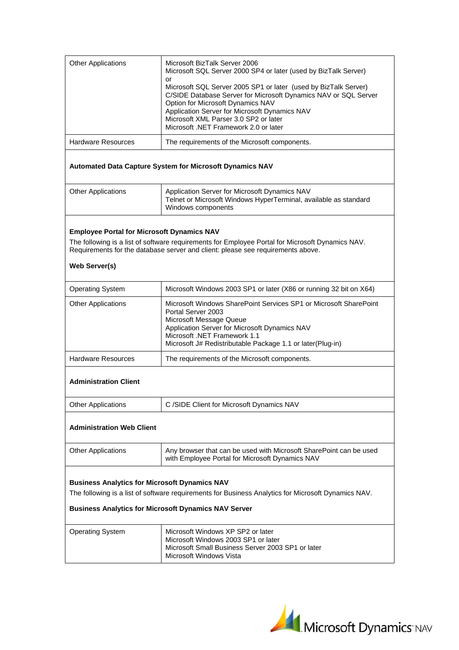| <b>Other Applications</b>                                          | Microsoft BizTalk Server 2006<br>Microsoft SQL Server 2000 SP4 or later (used by BizTalk Server)                                                                                                                                                                                                                 |  |
|--------------------------------------------------------------------|------------------------------------------------------------------------------------------------------------------------------------------------------------------------------------------------------------------------------------------------------------------------------------------------------------------|--|
|                                                                    | or<br>Microsoft SQL Server 2005 SP1 or later (used by BizTalk Server)<br>C/SIDE Database Server for Microsoft Dynamics NAV or SQL Server<br>Option for Microsoft Dynamics NAV<br>Application Server for Microsoft Dynamics NAV<br>Microsoft XML Parser 3.0 SP2 or later<br>Microsoft .NET Framework 2.0 or later |  |
| <b>Hardware Resources</b>                                          | The requirements of the Microsoft components.                                                                                                                                                                                                                                                                    |  |
|                                                                    | <b>Automated Data Capture System for Microsoft Dynamics NAV</b>                                                                                                                                                                                                                                                  |  |
| <b>Other Applications</b>                                          | Application Server for Microsoft Dynamics NAV<br>Telnet or Microsoft Windows HyperTerminal, available as standard<br>Windows components                                                                                                                                                                          |  |
| <b>Employee Portal for Microsoft Dynamics NAV</b><br>Web Server(s) | The following is a list of software requirements for Employee Portal for Microsoft Dynamics NAV.<br>Requirements for the database server and client: please see requirements above.                                                                                                                              |  |
| <b>Operating System</b>                                            | Microsoft Windows 2003 SP1 or later (X86 or running 32 bit on X64)                                                                                                                                                                                                                                               |  |
| <b>Other Applications</b>                                          | Microsoft Windows SharePoint Services SP1 or Microsoft SharePoint<br>Portal Server 2003<br>Microsoft Message Queue<br>Application Server for Microsoft Dynamics NAV<br>Microsoft .NET Framework 1.1<br>Microsoft J# Redistributable Package 1.1 or later(Plug-in)                                                |  |
| <b>Hardware Resources</b>                                          | The requirements of the Microsoft components.                                                                                                                                                                                                                                                                    |  |
| <b>Administration Client</b>                                       |                                                                                                                                                                                                                                                                                                                  |  |
| <b>Other Applications</b>                                          | C /SIDE Client for Microsoft Dynamics NAV                                                                                                                                                                                                                                                                        |  |
| <b>Administration Web Client</b>                                   |                                                                                                                                                                                                                                                                                                                  |  |
| <b>Other Applications</b>                                          | Any browser that can be used with Microsoft SharePoint can be used<br>with Employee Portal for Microsoft Dynamics NAV                                                                                                                                                                                            |  |
| <b>Business Analytics for Microsoft Dynamics NAV</b>               | The following is a list of software requirements for Business Analytics for Microsoft Dynamics NAV.<br><b>Business Analytics for Microsoft Dynamics NAV Server</b>                                                                                                                                               |  |
| <b>Operating System</b>                                            | Microsoft Windows XP SP2 or later<br>Microsoft Windows 2003 SP1 or later<br>Microsoft Small Business Server 2003 SP1 or later<br>Microsoft Windows Vista                                                                                                                                                         |  |